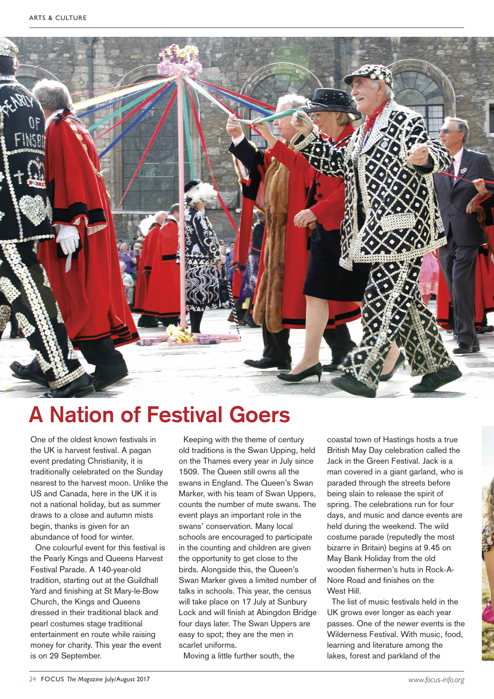

## **A Nation of Festival Goers**

One of the oldest known festivals in the UK is harvest festival. A pagan event predating Christianity, it is traditionally celebrated on the Sunday nearest to the harvest moon. Unlike the US and Canada, here in the UK it is not a national holiday, but as summer draws to a close and autumn mists begin, thanks is given for an abundance of food for winter.

One colourful event for this festival is the Pearly Kings and Queens Harvest Festival Parade. A 140-year-old tradition, starting out at the Guildhall Yard and finishing at St Mary-le-Bow Church, the Kings and Queens dressed in their traditional black and pearl costumes stage traditional entertainment en route while raising money for charity. This year the event is on 29 September.

Keeping with the theme of century old traditions is the Swan Upping, held on the Thames every year in July since 1509. The Queen still owns all the swans in England. The Queen's Swan Marker, with his team of Swan Uppers, counts the number of mute swans. The event plays an important role in the swans' conservation. Many local schools are encouraged to participate in the counting and children are given the opportunity to get close to the birds. Alongside this, the Queen's Swan Marker gives a limited number of talks in schools. This year, the census will take place on 17 July at Sunbury Lock and will finish at Abingdon Bridge four days later. The Swan Uppers are easy to spot; they are the men in scarlet uniforms.

Moving a little further south, the

coastal town of Hastings hosts a true British May Day celebration called the Jack in the Green Festival. Jack is a man covered in a giant garland, who is paraded through the streets before being slain to release the spirit of spring. The celebrations run for four days, and music and dance events are held during the weekend. The wild costume parade (reputedly the most bizarre in Britain) begins at 9.45 on May Bank Holiday from the old wooden fishermen's huts in Rock-A-Nore Road and finishes on the West Hill.

The list of music festivals held in the UK grows ever longer as each year passes. One of the newer events is the Wilderness Festival. With music, food, learning and literature among the lakes, forest and parkland of the